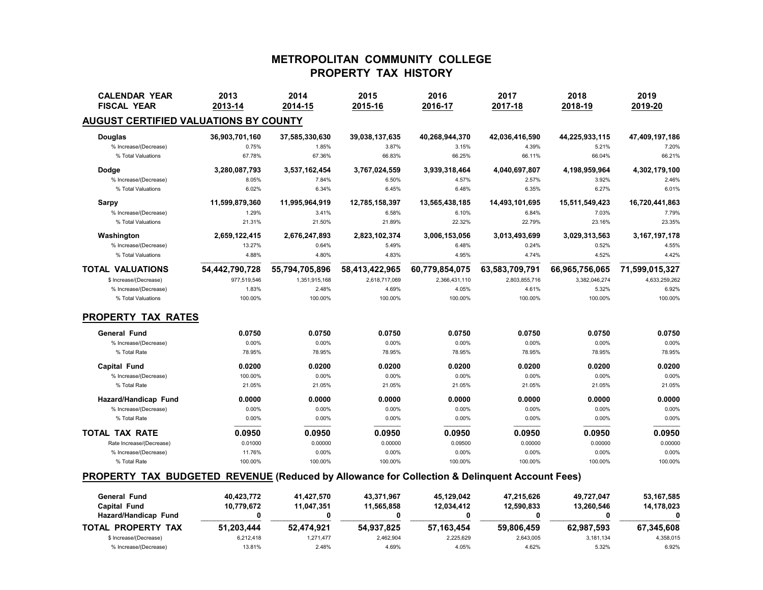# **METROPOLITAN COMMUNITY COLLEGE PROPERTY TAX HISTORY**

| <b>CALENDAR YEAR</b><br><b>FISCAL YEAR</b>   | 2013<br>2013-14 | 2014<br>2014-15 | 2015<br>2015-16 | 2016<br>2016-17 | 2017<br>2017-18 | 2018<br>2018-19 | 2019<br>2019-20 |
|----------------------------------------------|-----------------|-----------------|-----------------|-----------------|-----------------|-----------------|-----------------|
| <b>AUGUST CERTIFIED VALUATIONS BY COUNTY</b> |                 |                 |                 |                 |                 |                 |                 |
| <b>Douglas</b>                               | 36,903,701,160  | 37,585,330,630  | 39,038,137,635  | 40,268,944,370  | 42,036,416,590  | 44,225,933,115  | 47,409,197,186  |
| % Increase/(Decrease)                        | 0.75%           | 1.85%           | 3.87%           | 3.15%           | 4.39%           | 5.21%           | 7.20%           |
| % Total Valuations                           | 67.78%          | 67.36%          | 66.83%          | 66.25%          | 66.11%          | 66.04%          | 66.21%          |
| Dodge                                        | 3,280,087,793   | 3,537,162,454   | 3,767,024,559   | 3,939,318,464   | 4,040,697,807   | 4,198,959,964   | 4,302,179,100   |
| % Increase/(Decrease)                        | 8.05%           | 7.84%           | 6.50%           | 4.57%           | 2.57%           | 3.92%           | 2.46%           |
| % Total Valuations                           | 6.02%           | 6.34%           | 6.45%           | 6.48%           | 6.35%           | 6.27%           | 6.01%           |
| <b>Sarpy</b>                                 | 11,599,879,360  | 11,995,964,919  | 12,785,158,397  | 13,565,438,185  | 14,493,101,695  | 15,511,549,423  | 16,720,441,863  |
| % Increase/(Decrease)                        | 1.29%           | 3.41%           | 6.58%           | 6.10%           | 6.84%           | 7.03%           | 7.79%           |
| % Total Valuations                           | 21.31%          | 21.50%          | 21.89%          | 22.32%          | 22.79%          | 23.16%          | 23.35%          |
| Washington                                   | 2,659,122,415   | 2,676,247,893   | 2,823,102,374   | 3,006,153,056   | 3,013,493,699   | 3,029,313,563   | 3,167,197,178   |
| % Increase/(Decrease)                        | 13.27%          | 0.64%           | 5.49%           | 6.48%           | 0.24%           | 0.52%           | 4.55%           |
| % Total Valuations                           | 4.88%           | 4.80%           | 4.83%           | 4.95%           | 4.74%           | 4.52%           | 4.42%           |
| <b>TOTAL VALUATIONS</b>                      | 54,442,790,728  | 55,794,705,896  | 58,413,422,965  | 60,779,854,075  | 63,583,709,791  | 66,965,756,065  | 71,599,015,327  |
| \$ Increase/(Decrease)                       | 977,519,546     | 1,351,915,168   | 2,618,717,069   | 2,366,431,110   | 2,803,855,716   | 3,382,046,274   | 4,633,259,262   |
| % Increase/(Decrease)                        | 1.83%           | 2.48%           | 4.69%           | 4.05%           | 4.61%           | 5.32%           | 6.92%           |
| % Total Valuations                           | 100.00%         | 100.00%         | 100.00%         | 100.00%         | 100.00%         | 100.00%         | 100.00%         |
| <b>PROPERTY TAX RATES</b>                    |                 |                 |                 |                 |                 |                 |                 |
| <b>General Fund</b>                          | 0.0750          | 0.0750          | 0.0750          | 0.0750          | 0.0750          | 0.0750          | 0.0750          |
| % Increase/(Decrease)                        | 0.00%           | 0.00%           | 0.00%           | 0.00%           | 0.00%           | 0.00%           | 0.00%           |
| % Total Rate                                 | 78.95%          | 78.95%          | 78.95%          | 78.95%          | 78.95%          | 78.95%          | 78.95%          |
| <b>Capital Fund</b>                          | 0.0200          | 0.0200          | 0.0200          | 0.0200          | 0.0200          | 0.0200          | 0.0200          |
| % Increase/(Decrease)                        | 100.00%         | 0.00%           | 0.00%           | 0.00%           | 0.00%           | 0.00%           | 0.00%           |
| % Total Rate                                 | 21.05%          | 21.05%          | 21.05%          | 21.05%          | 21.05%          | 21.05%          | 21.05%          |
| Hazard/Handicap Fund                         | 0.0000          | 0.0000          | 0.0000          | 0.0000          | 0.0000          | 0.0000          | 0.0000          |
| % Increase/(Decrease)                        | 0.00%           | 0.00%           | 0.00%           | 0.00%           | 0.00%           | 0.00%           | 0.00%           |
| % Total Rate                                 | 0.00%           | 0.00%           | 0.00%           | 0.00%           | 0.00%           | 0.00%           | 0.00%           |
| <b>TOTAL TAX RATE</b>                        | 0.0950          | 0.0950          | 0.0950          | 0.0950          | 0.0950          | 0.0950          | 0.0950          |
| Rate Increase/(Decrease)                     | 0.01000         | 0.00000         | 0.00000         | 0.09500         | 0.00000         | 0.00000         | 0.00000         |
| % Increase/(Decrease)                        | 11.76%          | 0.00%           | 0.00%           | 0.00%           | 0.00%           | 0.00%           | 0.00%           |
| % Total Rate                                 | 100.00%         | 100.00%         | 100.00%         | 100.00%         | 100.00%         | 100.00%         | 100.00%         |
|                                              |                 |                 |                 |                 |                 |                 |                 |

### **PROPERTY TAX BUDGETED REVENUE (Reduced by Allowance for Collection & Delinquent Account Fees)**

| General Fund                 | 40.423.772 | 41.427.570 | 43.371.967 | 45.129.042 | 47.215.626 | 49.727.047 | 53.167.585 |
|------------------------------|------------|------------|------------|------------|------------|------------|------------|
| Capital Fund                 | 10.779.672 | 11.047.351 | 11.565.858 | 12.034.412 | 12.590.833 | 13.260.546 | 14,178,023 |
| Hazard/Handicap Fund         |            |            |            |            |            |            |            |
| <b>TAX</b><br>TOTAL PROPERTY | 51.203.444 | 52.474.921 | 54.937.825 | 57.163.454 | 59.806.459 | 62.987.593 | 67.345.608 |
| \$ Increase/(Decrease)       | 6.212.418  | 1.271.477  | 2.462.904  | 2.225.629  | 2,643,005  | 3.181.134  | 4.358.015  |
| % Increase/(Decrease)        | 13.81%     | 2.48%      | 4.69%      | 4.05%      | 4.62%      | 5.32%      | 6.92%      |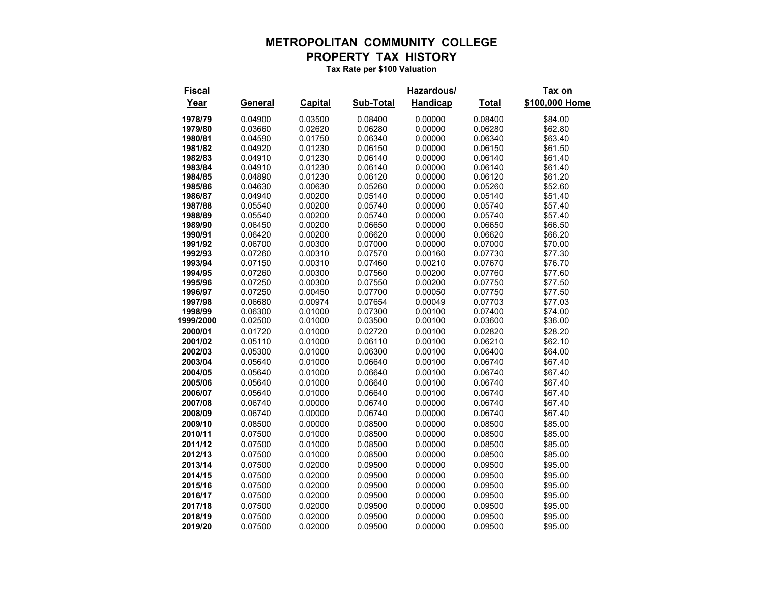## **METROPOLITAN COMMUNITY COLLEGE PROPERTY TAX HISTORY**

**Tax Rate per \$100 Valuation**

**Fiscal Hazardous/ Tax on Year General Capital Sub-Total Handicap Total \$100,000 Home 1978/79** 0.04900 0.03500 0.08400 0.00000 0.08400 \$84.00 **1979/80** 0.03660 0.02620 0.06280 0.00000 0.06280 \$62.80 **1980/81** 0.04590 0.01750 0.06340 0.00000 0.06340 \$63.40 **1981/82** 0.04920 0.01230 0.06150 0.00000 0.06150 \$61.50 **1982/83** 0.04910 0.01230 0.06140 0.00000 0.06140 \$61.40 **1983/84** 0.04910 0.01230 0.06140 0.00000 0.06140 \$61.40 **1984/85** 0.04890 0.01230 0.06120 0.00000 0.06120 \$61.20 **1985/86** 0.04630 0.00630 0.05260 0.00000 0.05260 \$52.60 **1986/87** 0.04940 0.00200 0.05140 0.00000 0.05140 \$51.40 **1987/88** 0.05540 0.00200 0.05740 0.00000 0.05740 \$57.40 **1988/89** 0.05540 0.00200 0.05740 0.00000 0.05740 \$57.40 **1989/90** 0.06450 0.00200 0.06650 0.00000 0.06650 \$66.50 **1990/91** 0.06420 0.00200 0.06620 0.00000 0.06620 \$66.20 **1991/92** 0.06700 0.00300 0.07000 0.00000 0.07000 \$70.00 **1992/93** 0.07260 0.00310 0.07570 0.00160 0.07730 \$77.30 **1993/94** 0.07150 0.00310 0.07460 0.00210 0.07670 \$76.70 **1994/95** 0.07260 0.00300 0.07560 0.00200 0.07760 \$77.60 **1995/96** 0.07250 0.00300 0.07550 0.00200 0.07750 \$77.50 **1996/97** 0.07250 0.00450 0.07700 0.00050 0.07750 \$77.50 **1997/98** 0.06680 0.00974 0.07654 0.00049 0.07703 \$77.03 **1998/99** 0.06300 0.01000 0.07300 0.00100 0.07400 \$74.00 **1999/2000** 0.02500 0.01000 0.03500 0.00100 0.03600 \$36.00 **2000/01** 0.01720 0.01000 0.02720 0.00100 0.02820 \$28.20 **2001/02** 0.05110 0.01000 0.06110 0.00100 0.06210 \$62.10 **2002/03** 0.05300 0.01000 0.06300 0.00100 0.06400 \$64.00 **2003/04** 0.05640 0.01000 0.06640 0.00100 0.06740 \$67.40 **2004/05** 0.05640 0.01000 0.06640 0.00100 0.06740 \$67.40 **2005/06** 0.05640 0.01000 0.06640 0.00100 0.06740 \$67.40 **2006/07** 0.05640 0.01000 0.06640 0.00100 0.06740 \$67.40 **2007/08** 0.06740 0.00000 0.06740 0.00000 0.06740 \$67.40 **2008/09** 0.06740 0.00000 0.06740 0.00000 0.06740 \$67.40 **2009/10** 0.08500 0.00000 0.08500 0.00000 0.08500 \$85.00 **2010/11** 0.07500 0.01000 0.08500 0.00000 0.08500 \$85.00 **2011/12** 0.07500 0.01000 0.08500 0.00000 0.08500 \$85.00 **2012/13** 0.07500 0.01000 0.08500 0.00000 0.08500 \$85.00 **2013/14** 0.07500 0.02000 0.09500 0.00000 0.09500 \$95.00 **2014/15** 0.07500 0.02000 0.09500 0.00000 0.09500 \$95.00 **2015/16** 0.07500 0.02000 0.09500 0.00000 0.09500 \$95.00 **2016/17** 0.07500 0.02000 0.09500 0.00000 0.09500 \$95.00 **2017/18** 0.07500 0.02000 0.09500 0.00000 0.09500 \$95.00 **2018/19** 0.07500 0.02000 0.09500 0.00000 0.09500 \$95.00 **2019/20** 0.07500 0.02000 0.09500 0.00000 0.09500 \$95.00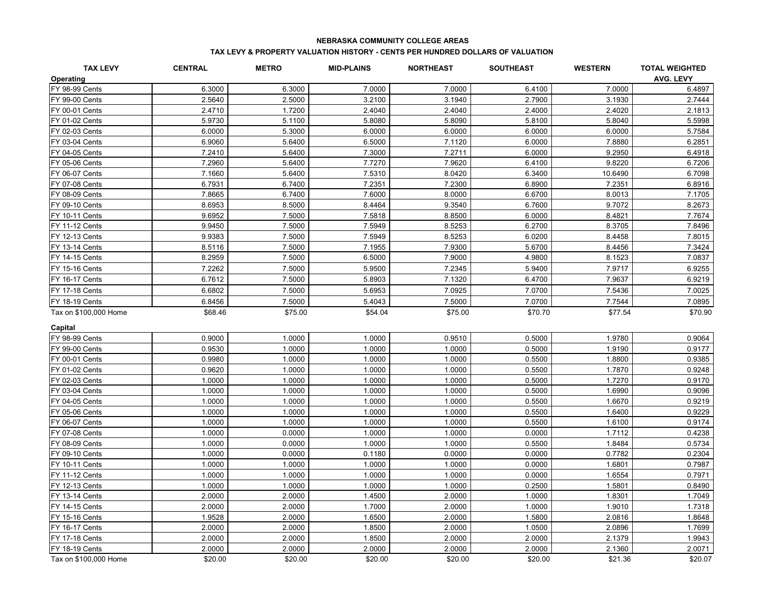#### **NEBRASKA COMMUNITY COLLEGE AREAS**

#### **TAX LEVY & PROPERTY VALUATION HISTORY - CENTS PER HUNDRED DOLLARS OF VALUATION**

| <b>TAX LEVY</b>       | <b>CENTRAL</b> | <b>METRO</b> | <b>MID-PLAINS</b> | <b>NORTHEAST</b> | <b>SOUTHEAST</b> | <b>WESTERN</b> | <b>TOTAL WEIGHTED</b> |
|-----------------------|----------------|--------------|-------------------|------------------|------------------|----------------|-----------------------|
| Operating             |                |              |                   |                  |                  |                | <b>AVG. LEVY</b>      |
| FY 98-99 Cents        | 6.3000         | 6.3000       | 7.0000            | 7.0000           | 6.4100           | 7.0000         | 6.4897                |
| FY 99-00 Cents        | 2.5640         | 2.5000       | 3.2100            | 3.1940           | 2.7900           | 3.1930         | 2.7444                |
| FY 00-01 Cents        | 2.4710         | 1.7200       | 2.4040            | 2.4040           | 2.4000           | 2.4020         | 2.1813                |
| FY 01-02 Cents        | 5.9730         | 5.1100       | 5.8080            | 5.8090           | 5.8100           | 5.8040         | 5.5998                |
| FY 02-03 Cents        | 6.0000         | 5.3000       | 6.0000            | 6.0000           | 6.0000           | 6.0000         | 5.7584                |
| FY 03-04 Cents        | 6.9060         | 5.6400       | 6.5000            | 7.1120           | 6.0000           | 7.8880         | 6.2851                |
| FY 04-05 Cents        | 7.2410         | 5.6400       | 7.3000            | 7.2711           | 6.0000           | 9.2950         | 6.4918                |
| FY 05-06 Cents        | 7.2960         | 5.6400       | 7.7270            | 7.9620           | 6.4100           | 9.8220         | 6.7206                |
| FY 06-07 Cents        | 7.1660         | 5.6400       | 7.5310            | 8.0420           | 6.3400           | 10.6490        | 6.7098                |
| FY 07-08 Cents        | 6.7931         | 6.7400       | 7.2351            | 7.2300           | 6.8900           | 7.2351         | 6.8916                |
| FY 08-09 Cents        | 7.8665         | 6.7400       | 7.6000            | 8.0000           | 6.6700           | 8.0013         | 7.1705                |
| FY 09-10 Cents        | 8.6953         | 8.5000       | 8.4464            | 9.3540           | 6.7600           | 9.7072         | 8.2673                |
| FY 10-11 Cents        | 9.6952         | 7.5000       | 7.5818            | 8.8500           | 6.0000           | 8.4821         | 7.7674                |
| <b>FY 11-12 Cents</b> | 9.9450         | 7.5000       | 7.5949            | 8.5253           | 6.2700           | 8.3705         | 7.8496                |
| <b>FY 12-13 Cents</b> | 9.9383         | 7.5000       | 7.5949            | 8.5253           | 6.0200           | 8.4458         | 7.8015                |
| FY 13-14 Cents        | 8.5116         | 7.5000       | 7.1955            | 7.9300           | 5.6700           | 8.4456         | 7.3424                |
| <b>FY 14-15 Cents</b> | 8.2959         | 7.5000       | 6.5000            | 7.9000           | 4.9800           | 8.1523         | 7.0837                |
| FY 15-16 Cents        | 7.2262         | 7.5000       | 5.9500            | 7.2345           | 5.9400           | 7.9717         | 6.9255                |
| <b>FY 16-17 Cents</b> | 6.7612         | 7.5000       | 5.8903            | 7.1320           | 6.4700           | 7.9637         | 6.9219                |
| <b>FY 17-18 Cents</b> | 6.6802         | 7.5000       | 5.6953            | 7.0925           | 7.0700           | 7.5436         | 7.0025                |
| FY 18-19 Cents        | 6.8456         | 7.5000       | 5.4043            | 7.5000           | 7.0700           | 7.7544         | 7.0895                |
| Tax on \$100,000 Home | \$68.46        | \$75.00      | \$54.04           | \$75.00          | \$70.70          | \$77.54        | \$70.90               |
|                       |                |              |                   |                  |                  |                |                       |
| Capital               |                |              |                   |                  |                  |                |                       |
| FY 98-99 Cents        | 0.9000         | 1.0000       | 1.0000            | 0.9510           | 0.5000           | 1.9780         | 0.9064                |
| FY 99-00 Cents        | 0.9530         | 1.0000       | 1.0000            | 1.0000           | 0.5000           | 1.9190         | 0.9177                |
| FY 00-01 Cents        | 0.9980         | 1.0000       | 1.0000            | 1.0000           | 0.5500           | 1.8800         | 0.9385                |
| FY 01-02 Cents        | 0.9620         | 1.0000       | 1.0000            | 1.0000           | 0.5500           | 1.7870         | 0.9248                |
| FY 02-03 Cents        | 1.0000         | 1.0000       | 1.0000            | 1.0000           | 0.5000           | 1.7270         | 0.9170                |
| FY 03-04 Cents        | 1.0000         | 1.0000       | 1.0000            | 1.0000           | 0.5000           | 1.6990         | 0.9096                |
| FY 04-05 Cents        | 1.0000         | 1.0000       | 1.0000            | 1.0000           | 0.5500           | 1.6670         | 0.9219                |
| FY 05-06 Cents        | 1.0000         | 1.0000       | 1.0000            | 1.0000           | 0.5500           | 1.6400         | 0.9229                |
| FY 06-07 Cents        | 1.0000         | 1.0000       | 1.0000            | 1.0000           | 0.5500           | 1.6100         | 0.9174                |
| FY 07-08 Cents        | 1.0000         | 0.0000       | 1.0000            | 1.0000           | 0.0000           | 1.7112         | 0.4238                |
| FY 08-09 Cents        | 1.0000         | 0.0000       | 1.0000            | 1.0000           | 0.5500           | 1.8484         | 0.5734                |
| FY 09-10 Cents        | 1.0000         | 0.0000       | 0.1180            | 0.0000           | 0.0000           | 0.7782         | 0.2304                |
| FY 10-11 Cents        | 1.0000         | 1.0000       | 1.0000            | 1.0000           | 0.0000           | 1.6801         | 0.7987                |
| <b>FY 11-12 Cents</b> | 1.0000         | 1.0000       | 1.0000            | 1.0000           | 0.0000           | 1.6554         | 0.7971                |
| FY 12-13 Cents        | 1.0000         | 1.0000       | 1.0000            | 1.0000           | 0.2500           | 1.5801         | 0.8490                |
| <b>FY 13-14 Cents</b> | 2.0000         | 2.0000       | 1.4500            | 2.0000           | 1.0000           | 1.8301         | 1.7049                |
| FY 14-15 Cents        | 2.0000         | 2.0000       | 1.7000            | 2.0000           | 1.0000           | 1.9010         | 1.7318                |
| FY 15-16 Cents        | 1.9528         | 2.0000       | 1.6500            | 2.0000           | 1.5800           | 2.0816         | 1.8648                |
| FY 16-17 Cents        | 2.0000         | 2.0000       | 1.8500            | 2.0000           | 1.0500           | 2.0896         | 1.7699                |
| <b>FY 17-18 Cents</b> | 2.0000         | 2.0000       | 1.8500            | 2.0000           | 2.0000           | 2.1379         | 1.9943                |
| FY 18-19 Cents        | 2.0000         | 2.0000       | 2.0000            | 2.0000           | 2.0000           | 2.1360         | 2.0071                |
| Tax on \$100,000 Home | \$20.00        | \$20.00      | \$20.00           | \$20.00          | \$20.00          | \$21.36        | \$20.07               |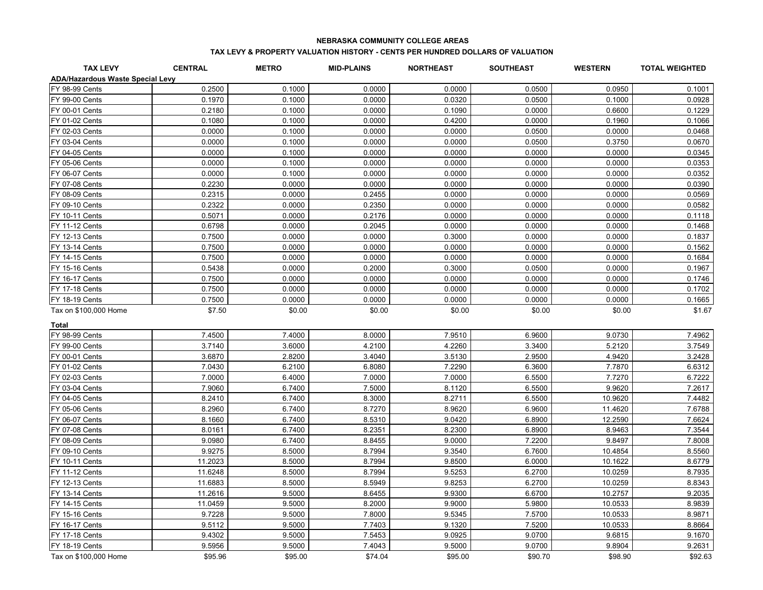#### **NEBRASKA COMMUNITY COLLEGE AREAS**

#### **TAX LEVY & PROPERTY VALUATION HISTORY - CENTS PER HUNDRED DOLLARS OF VALUATION**

| <b>TAX LEVY</b>                         | <b>CENTRAL</b> | <b>METRO</b> | <b>MID-PLAINS</b> | <b>NORTHEAST</b> | <b>SOUTHEAST</b> | <b>WESTERN</b> | <b>TOTAL WEIGHTED</b> |
|-----------------------------------------|----------------|--------------|-------------------|------------------|------------------|----------------|-----------------------|
| <b>ADA/Hazardous Waste Special Levy</b> |                |              |                   |                  |                  |                |                       |
| FY 98-99 Cents                          | 0.2500         | 0.1000       | 0.0000            | 0.0000           | 0.0500           | 0.0950         | 0.1001                |
| <b>FY 99-00 Cents</b>                   | 0.1970         | 0.1000       | 0.0000            | 0.0320           | 0.0500           | 0.1000         | 0.0928                |
| FY 00-01 Cents                          | 0.2180         | 0.1000       | 0.0000            | 0.1090           | 0.0000           | 0.6600         | 0.1229                |
| FY 01-02 Cents                          | 0.1080         | 0.1000       | 0.0000            | 0.4200           | 0.0000           | 0.1960         | 0.1066                |
| FY 02-03 Cents                          | 0.0000         | 0.1000       | 0.0000            | 0.0000           | 0.0500           | 0.0000         | 0.0468                |
| FY 03-04 Cents                          | 0.0000         | 0.1000       | 0.0000            | 0.0000           | 0.0500           | 0.3750         | 0.0670                |
| FY 04-05 Cents                          | 0.0000         | 0.1000       | 0.0000            | 0.0000           | 0.0000           | 0.0000         | 0.0345                |
| FY 05-06 Cents                          | 0.0000         | 0.1000       | 0.0000            | 0.0000           | 0.0000           | 0.0000         | 0.0353                |
| FY 06-07 Cents                          | 0.0000         | 0.1000       | 0.0000            | 0.0000           | 0.0000           | 0.0000         | 0.0352                |
| FY 07-08 Cents                          | 0.2230         | 0.0000       | 0.0000            | 0.0000           | 0.0000           | 0.0000         | 0.0390                |
| FY 08-09 Cents                          | 0.2315         | 0.0000       | 0.2455            | 0.0000           | 0.0000           | 0.0000         | 0.0569                |
| FY 09-10 Cents                          | 0.2322         | 0.0000       | 0.2350            | 0.0000           | 0.0000           | 0.0000         | 0.0582                |
| FY 10-11 Cents                          | 0.5071         | 0.0000       | 0.2176            | 0.0000           | 0.0000           | 0.0000         | 0.1118                |
| <b>FY 11-12 Cents</b>                   | 0.6798         | 0.0000       | 0.2045            | 0.0000           | 0.0000           | 0.0000         | 0.1468                |
| FY 12-13 Cents                          | 0.7500         | 0.0000       | 0.0000            | 0.3000           | 0.0000           | 0.0000         | 0.1837                |
| FY 13-14 Cents                          | 0.7500         | 0.0000       | 0.0000            | 0.0000           | 0.0000           | 0.0000         | 0.1562                |
| FY 14-15 Cents                          | 0.7500         | 0.0000       | 0.0000            | 0.0000           | 0.0000           | 0.0000         | 0.1684                |
| FY 15-16 Cents                          | 0.5438         | 0.0000       | 0.2000            | 0.3000           | 0.0500           | 0.0000         | 0.1967                |
| FY 16-17 Cents                          | 0.7500         | 0.0000       | 0.0000            | 0.0000           | 0.0000           | 0.0000         | 0.1746                |
| <b>FY 17-18 Cents</b>                   | 0.7500         | 0.0000       | 0.0000            | 0.0000           | 0.0000           | 0.0000         | 0.1702                |
| FY 18-19 Cents                          | 0.7500         | 0.0000       | 0.0000            | 0.0000           | 0.0000           | 0.0000         | 0.1665                |
| Tax on \$100,000 Home                   | \$7.50         | \$0.00       | \$0.00            | \$0.00           | \$0.00           | \$0.00         | \$1.67                |
|                                         |                |              |                   |                  |                  |                |                       |
| <b>Total</b><br>FY 98-99 Cents          | 7.4500         | 7.4000       | 8.0000            | 7.9510           | 6.9600           | 9.0730         | 7.4962                |
| FY 99-00 Cents                          | 3.7140         | 3.6000       | 4.2100            | 4.2260           | 3.3400           | 5.2120         | 3.7549                |
| FY 00-01 Cents                          | 3.6870         | 2.8200       | 3.4040            | 3.5130           | 2.9500           | 4.9420         | 3.2428                |
| FY 01-02 Cents                          | 7.0430         | 6.2100       | 6.8080            | 7.2290           | 6.3600           | 7.7870         | 6.6312                |
| FY 02-03 Cents                          | 7.0000         | 6.4000       | 7.0000            | 7.0000           | 6.5500           | 7.7270         | 6.7222                |
| FY 03-04 Cents                          | 7.9060         | 6.7400       | 7.5000            | 8.1120           | 6.5500           | 9.9620         | 7.2617                |
| FY 04-05 Cents                          | 8.2410         | 6.7400       | 8.3000            | 8.2711           | 6.5500           | 10.9620        | 7.4482                |
| FY 05-06 Cents                          | 8.2960         | 6.7400       | 8.7270            | 8.9620           | 6.9600           | 11.4620        | 7.6788                |
| FY 06-07 Cents                          | 8.1660         | 6.7400       | 8.5310            | 9.0420           | 6.8900           | 12.2590        | 7.6624                |
| FY 07-08 Cents                          | 8.0161         | 6.7400       | 8.2351            | 8.2300           | 6.8900           | 8.9463         | 7.3544                |
| FY 08-09 Cents                          | 9.0980         | 6.7400       | 8.8455            | 9.0000           | 7.2200           | 9.8497         | 7.8008                |
| FY 09-10 Cents                          | 9.9275         | 8.5000       | 8.7994            | 9.3540           | 6.7600           | 10.4854        | 8.5560                |
| FY 10-11 Cents                          | 11.2023        | 8.5000       | 8.7994            | 9.8500           | 6.0000           | 10.1622        | 8.6779                |
| <b>FY 11-12 Cents</b>                   | 11.6248        | 8.5000       | 8.7994            | 9.5253           | 6.2700           | 10.0259        | 8.7935                |
| FY 12-13 Cents                          | 11.6883        | 8.5000       | 8.5949            | 9.8253           | 6.2700           | 10.0259        | 8.8343                |
| <b>FY 13-14 Cents</b>                   | 11.2616        | 9.5000       | 8.6455            | 9.9300           | 6.6700           | 10.2757        | 9.2035                |
| FY 14-15 Cents                          | 11.0459        | 9.5000       | 8.2000            | 9.9000           | 5.9800           | 10.0533        | 8.9839                |
| FY 15-16 Cents                          | 9.7228         | 9.5000       | 7.8000            | 9.5345           | 7.5700           | 10.0533        | 8.9871                |
| FY 16-17 Cents                          | 9.5112         | 9.5000       | 7.7403            | 9.1320           | 7.5200           | 10.0533        | 8.8664                |
| <b>FY 17-18 Cents</b>                   | 9.4302         | 9.5000       | 7.5453            | 9.0925           | 9.0700           | 9.6815         | 9.1670                |
| FY 18-19 Cents                          | 9.5956         | 9.5000       | 7.4043            | 9.5000           | 9.0700           | 9.8904         | 9.2631                |
| Tax on \$100,000 Home                   | \$95.96        | \$95.00      | \$74.04           | \$95.00          | \$90.70          | \$98.90        | \$92.63               |
|                                         |                |              |                   |                  |                  |                |                       |